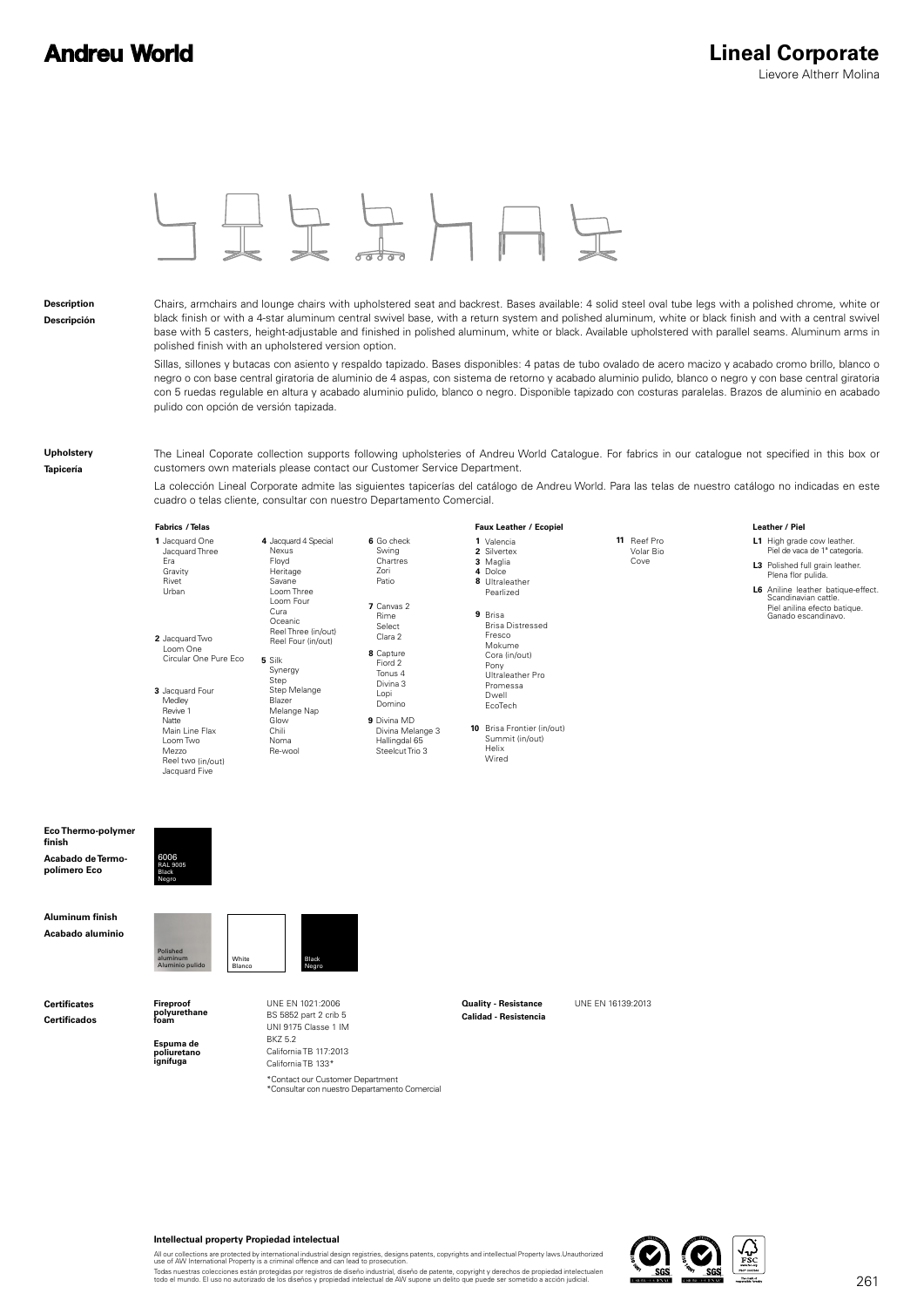Leather / Piel



#### **Description Descripción**

Chairs, armchairs and lounge chairs with upholstered seat and backrest. Bases available: 4 solid steel oval tube legs with a polished chrome, white or black finish or with a 4-star aluminum central swivel base, with a return system and polished aluminum, white or black finish and with a central swivel base with 5 casters, height-adjustable and finished in polished aluminum, white or black. Available upholstered with parallel seams. Aluminum arms in polished finish with an upholstered version option.

Sillas, sillones y butacas con asiento y respaldo tapizado. Bases disponibles: 4 patas de tubo ovalado de acero macizo y acabado cromo brillo, blanco o negro o con base central giratoria de aluminio de 4 aspas, con sistema de retorno y acabado aluminio pulido, blanco o negro y con base central giratoria con 5 ruedas regulable en altura y acabado aluminio pulido, blanco o negro. Disponible tapizado con costuras paralelas. Brazos de aluminio en acabado pulido con opción de versión tapizada.

**Upholstery**

**Tapicería**

The Lineal Coporate collection supports following upholsteries of Andreu World Catalogue. For fabrics in our catalogue not specified in this box or customers own materials please contact our Customer Service Department.

La colección Lineal Corporate admite las siguientes tapicerías del catálogo de Andreu World. Para las telas de nuestro catálogo no indicadas en este cuadro o telas cliente, consultar con nuestro Departamento Comercial.

#### **/ Telas / Ecopiel Leather Fabrics Faux Leather**

| 1 Jacquard One<br>Jacquard Three<br>Era<br>Gravity                                                             | 4 Jacquard 4 Special<br>Nexus<br>Floyd<br>Heritage<br>Savane                                                                                                                                      | 6 Go check<br>Swing<br>Chartres<br>Zori                                                                           | 1 Valencia<br>2 Silvertex<br>3 Maglia<br>4 Dolce                                                                                                                   | 11 Reef Pro<br>Volar Bio<br>Cove | L1 High grade cow leather.<br>Piel de vaca de 1ª categoría.<br>L3 Polished full grain leather.<br>Plena flor pulida. |
|----------------------------------------------------------------------------------------------------------------|---------------------------------------------------------------------------------------------------------------------------------------------------------------------------------------------------|-------------------------------------------------------------------------------------------------------------------|--------------------------------------------------------------------------------------------------------------------------------------------------------------------|----------------------------------|----------------------------------------------------------------------------------------------------------------------|
| Rivet<br>Urban<br>2 Jacquard Two<br>Loom One<br>Circular One Pure Eco<br>3 Jacquard Four<br>Medley<br>Revive 1 | Loom Three<br>Loom Four<br>Cura<br>Oceanic<br>Reel Three (in/out)<br>Reel Four (in/out)<br>5 Silk<br>Synergy<br>Step<br>Step Melange<br>Blazer<br>Melange Nap<br>Glow<br>Chili<br>Noma<br>Re-wool | Patio<br>7 Canvas 2<br>Rime<br>Select<br>Clara 2<br>8 Capture<br>Fiord 2<br>Tonus 4<br>Divina 3<br>Lopi<br>Domino | 8 Ultraleather<br>Pearlized<br>9 Brisa<br><b>Brisa Distressed</b><br>Fresco<br>Mokume<br>Cora (in/out)<br>Pony<br>Ultraleather Pro<br>Promessa<br>Dwell<br>EcoTech |                                  | L6 Aniline leather batique-effect.<br>Scandinavian cattle.<br>Piel anilina efecto batique.<br>Ganado escandinavo.    |
| Natte<br>Main Line Flax<br>Loom Two<br>Mezzo<br>Reel two (in/out)<br>Jacquard Five                             |                                                                                                                                                                                                   | 9 Divina MD<br>Divina Melange 3<br>Hallingdal 65<br>Steelcut Trio 3                                               | <b>10</b> Brisa Frontier (in/out)<br>Summit (in/out)<br>Helix<br>Wired                                                                                             |                                  |                                                                                                                      |

**Eco Thermo-polymer finish Acabado de Termopolímero Eco**



**Aluminum finish Acabado aluminio**

**Certificates**

**Certificados**

**Fireproof polyurethane foam**

Polished aluminum Aluminio pulido

**Espuma de poliuretano ignífuga**

BS 5852 part 2 crib 5 UNI 9175 Classe 1 IM **BK752** California TB 117:2013 California TB 133\* \*Contact our Customer Department<br>\*Consultar con nuestro Departamento Comercial

Black Negro

UNE EN 1021:2006 **Duality - Resistance** UNE EN 16139:2013 **Calidad - Resistencia**



#### **Intellectual property Propiedad intelectual**

White Blanco

All our collections are protected by international industrial design registries, designs patents, copyrights and intellectual Property laws.Unauthorized<br>use of AW International Property is a criminal offence and can lead t

Todas nuestras colecciones están protegidas por registros de diseño industrial, diseño de patente, copyright y derechos de propiedad intelectualen<br>todo el mundo. El uso no autorizado de los diseños y propiedad intelectual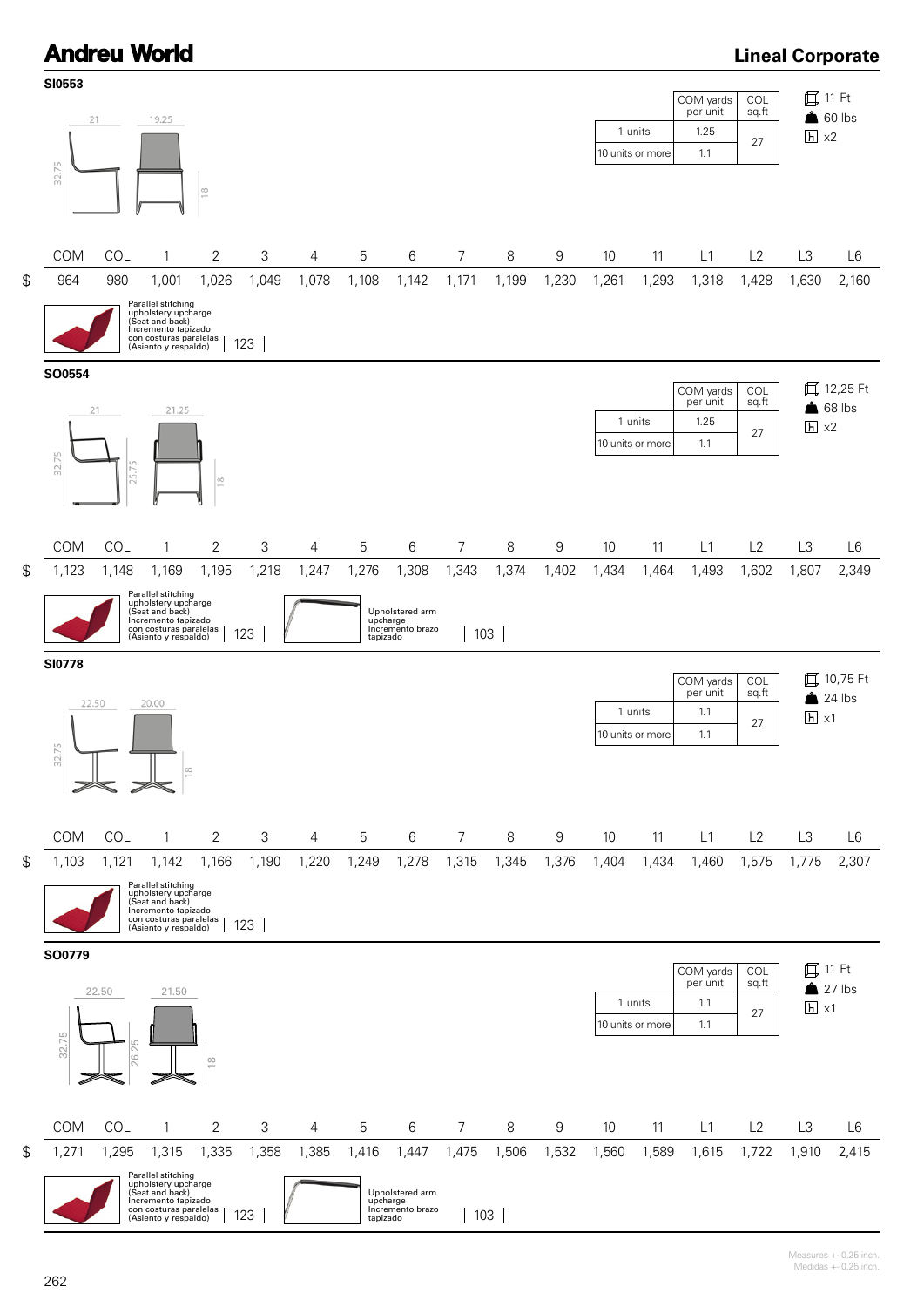# **Andreu World**

### **Lineal Corporate**

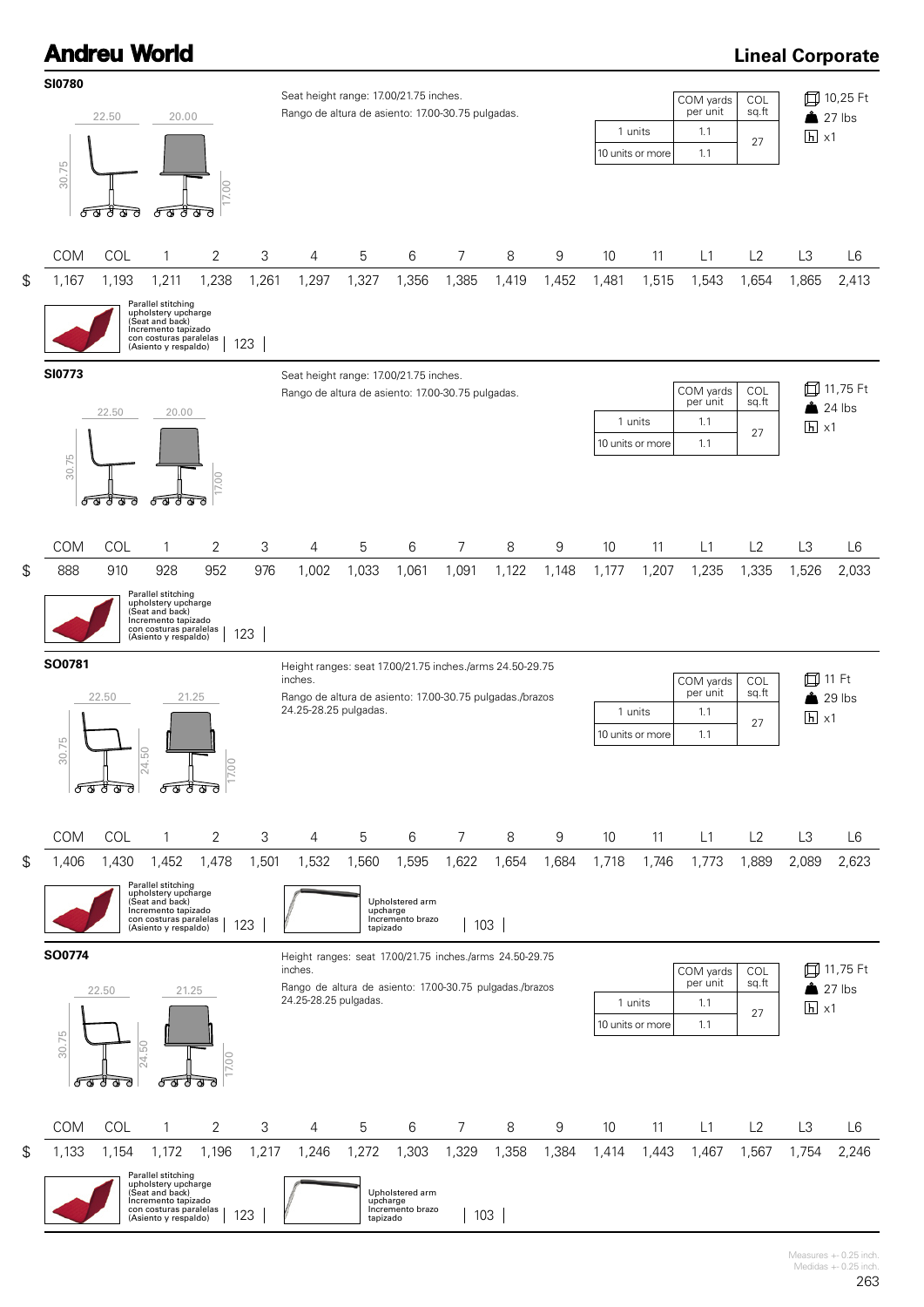# **Andreu World**

## **Lineal Corporate**